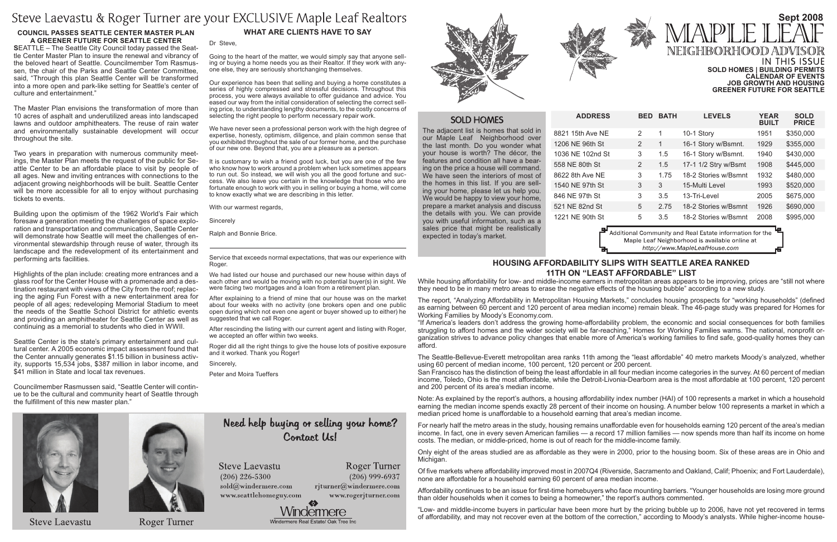| BED           | <b>BATH</b> | <b>LEVELS</b>        | <b>YEAR</b><br><b>BUILT</b> | <b>SOLD</b><br><b>PRICE</b> |
|---------------|-------------|----------------------|-----------------------------|-----------------------------|
| 2             | 1           | 10-1 Story           | 1951                        | \$350,000                   |
| 2             | 1           | 16-1 Story w/Bsmnt.  | 1929                        | \$355,000                   |
| 3             | 1.5         | 16-1 Story w/Bsmnt.  | 1940                        | \$430,000                   |
| $\mathcal{P}$ | 1.5         | 17-1 1/2 Stry w/Bsmt | 1908                        | \$445,000                   |
| 3             | 1.75        | 18-2 Stories w/Bsmnt | 1932                        | \$480,000                   |
| 3             | 3           | 15-Multi Level       | 1993                        | \$520,000                   |
| 3             | 3.5         | 13-Tri-Level         | 2005                        | \$675,000                   |
| 5             | 2.75        | 18-2 Stories w/Bsmnt | 1926                        | \$690,000                   |
| 5             | 3.5         | 18-2 Stories w/Bsmnt | 2008                        | \$995,000                   |
|               |             | .<br>$\sim$ $\sim$   | г.<br>$\sim$ $\sim$         |                             |

Additional Community and Real Estate information for the Maple Leaf Neighborhood is available online at http://www.MapleLeafHouse.com

The adjacent list is homes that sold in our Maple Leaf Neighborhood over the last month. Do you wonder what your house is worth? The décor, the features and condition all have a bearing on the price a house will command. We have seen the interiors of most of the homes in this list. If you are selling your home, please let us help you. We would be happy to view your home, prepare a market analysis and discuss the details with you. We can provide you with useful information, such as a sales price that might be realistically expected in today's market.

 $ADDRESS$ 8821 15th Ave NE 1206 NE 96th St 1036 NE 102nd St 558 NE 80th St 8622 8th Ave NE 1540 NE 97th St 846 NE 97th St 521 NE 82nd St 1221 NE 90th St

## **What Are Clients Have to Say**

#### Dr Steve,

Going to the heart of the matter, we would simply say that anyone selling or buying a home needs you as their Realtor. If they work with anyone else, they are seriously shortchanging themselves.

Our experience has been that selling and buying a home constitutes a series of highly compressed and stressful decisions. Throughout this process, you were always available to offer guidance and advice. You eased our way from the initial consideration of selecting the correct selling price, to understanding lengthy documents, to the costly concerns of selecting the right people to perform necessary repair work.

We have never seen a professional person work with the high degree of expertise, honesty, optimism, diligence, and plain common sense that you exhibited throughout the sale of our former home, and the purchase of our new one. Beyond that, you are a pleasure as a person.

## **Sept 2008** NEIGHBORHOOD ADV **IN THIS ISSUE Sold Homes | Building Permits Calendar of Events Job Growth and Housing**

It is customary to wish a friend good luck, but you are one of the few who know how to work around a problem when luck sometimes appears to run out. So instead, we will wish you all the good fortune and success. We also leave you certain in the knowledge that those who are fortunate enough to work with you in selling or buying a home, will come to know exactly what we are describing in this letter.

With our warmest regards,

**Sincerely** 

Ralph and Bonnie Brice.

Service that exceeds normal expectations, that was our experience with Roger.

We had listed our house and purchased our new house within days of each other and would be moving with no potential buyer(s) in sight. We were facing two mortgages and a loan from a retirement plan.

After explaining to a friend of mine that our house was on the market about four weeks with no activity (one brokers open and one public open during which not even one agent or buyer showed up to either) he suggested that we call Roger.

After rescinding the listing with our current agent and listing with Roger, we accepted an offer within two weeks.

Roger did all the right things to give the house lots of positive exposure and it worked. Thank you Roger!

Sincerely,

Peter and Moira Tueffers

# Need help buying or selling your home? Contact Us!

Roger Turner

 $(206)$  999-6937

**Steve Laevastu**  $(206)$  226-5300

sold@windermere.com www.seattlehomeguy.com





## **SOLD HOMES**

**Greener Future for Seattle**

## **Housing Affordability Slips with Seattle Area Ranked 11th on "Least Affordable" List**

While housing affordability for low- and middle-income earners in metropolitan areas appears to be improving, prices are "still not where they need to be in many metro areas to erase the negative effects of the housing bubble" according to a new study.

The report, "Analyzing Affordability in Metropolitan Housing Markets," concludes housing prospects for "working households" (defined as earning between 60 percent and 120 percent of area median income) remain bleak. The 46-page study was prepared for Homes for Working Families by Moody's Economy.com.

"If America's leaders don't address the growing home-affordability problem, the economic and social consequences for both families struggling to afford homes and the wider society will be far-reaching," Homes for Working Families warns. The national, nonprofit organization strives to advance policy changes that enable more of America's working families to find safe, good-quality homes they can afford.

Seattle Center is the state's primary entertainment and cultural center. A 2005 economic impact assessment found that the Center annually generates \$1.15 billion in business activity, supports 15,534 jobs, \$387 million in labor income, and \$41 million in State and local tax revenues.

The Seattle-Bellevue-Everett metropolitan area ranks 11th among the "least affordable" 40 metro markets Moody's analyzed, whether using 60 percent of median income, 100 percent, 120 percent or 200 percent. San Francisco has the distinction of being the least affordable in all four median income categories in the survey. At 60 percent of median income, Toledo, Ohio is the most affordable, while the Detroit-Livonia-Dearborn area is the most affordable at 100 percent, 120 percent and 200 percent of its area's median income.

Note: As explained by the report's authors, a housing affordability index number (HAI) of 100 represents a market in which a household earning the median income spends exactly 28 percent of their income on housing. A number below 100 represents a market in which a median priced home is unaffordable to a household earning that area's median income.

For nearly half the metro areas in the study, housing remains unaffordable even for households earning 120 percent of the area's median income. In fact, one in every seven American families — a record 17 million families — now spends more than half its income on home costs. The median, or middle-priced, home is out of reach for the middle-income family.

Only eight of the areas studied are as affordable as they were in 2000, prior to the housing boom. Six of these areas are in Ohio and Michigan.

Of five markets where affordability improved most in 2007Q4 (Riverside, Sacramento and Oakland, Calif; Phoenix; and Fort Lauderdale), none are affordable for a household earning 60 percent of area median income.

Affordability continues to be an issue for first-time homebuyers who face mounting barriers. "Younger households are losing more ground than older households when it comes to being a homeowner," the report's authors commented.

"Low- and middle-income buyers in particular have been more hurt by the pricing bubble up to 2006, have not yet recovered in terms of affordability, and may not recover even at the bottom of the correction," according to Moody's analysts. While higher-income house-

rjturner@windermere.com



# Steve Laevastu & Roger Turner are your EXCLUSIVE Maple Leaf Realtors

#### **COUNCIL PASSES SEATTLE CENTER MASTER PLAN A Greener Future for Seattle Center**

**S**EATTLE – The Seattle City Council today passed the Seattle Center Master Plan to insure the renewal and vibrancy of the beloved heart of Seattle. Councilmember Tom Rasmussen, the chair of the Parks and Seattle Center Committee, said, "Through this plan Seattle Center will be transformed into a more open and park-like setting for Seattle's center of culture and entertainment."

The Master Plan envisions the transformation of more than 10 acres of asphalt and underutilized areas into landscaped lawns and outdoor amphitheaters. The reuse of rain water and environmentally sustainable development will occur throughout the site.

Two years in preparation with numerous community meetings, the Master Plan meets the request of the public for Seattle Center to be an affordable place to visit by people of all ages. New and inviting entrances with connections to the adjacent growing neighborhoods will be built. Seattle Center will be more accessible for all to enjoy without purchasing tickets to events.

Building upon the optimism of the 1962 World's Fair which foresaw a generation meeting the challenges of space exploration and transportation and communication, Seattle Center will demonstrate how Seattle will meet the challenges of environmental stewardship through reuse of water, through its landscape and the redevelopment of its entertainment and performing arts facilities.

Highlights of the plan include: creating more entrances and a glass roof for the Center House with a promenade and a destination restaurant with views of the City from the roof; replacing the aging Fun Forest with a new entertainment area for people of all ages; redeveloping Memorial Stadium to meet the needs of the Seattle School District for athletic events and providing an amphitheater for Seattle Center as well as continuing as a memorial to students who died in WWII.

Councilmember Rasmussen said, "Seattle Center will continue to be the cultural and community heart of Seattle through the fulfillment of this new master plan."

**Steve Laevastu** 



## **Roger Turner**